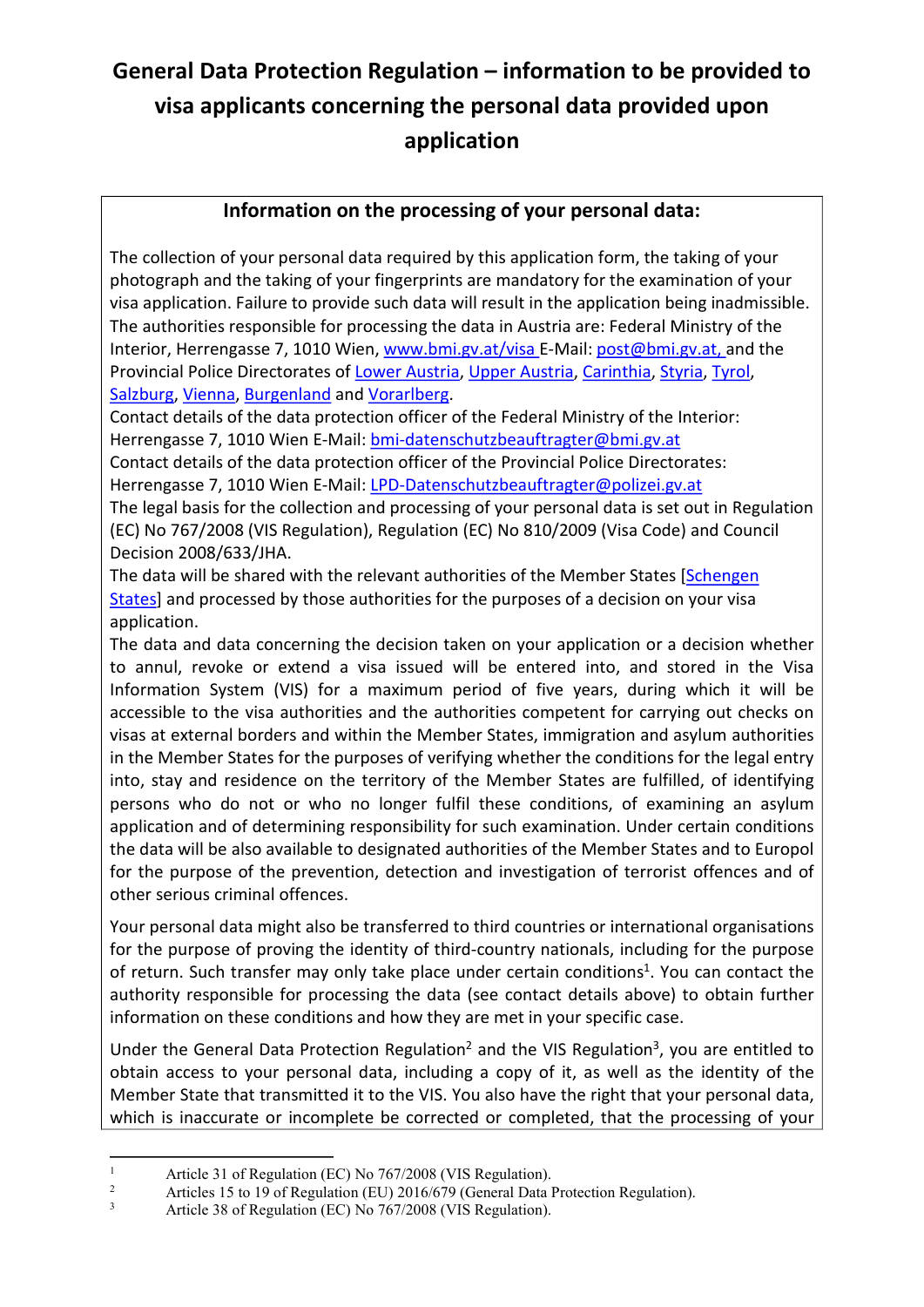## **General Data Protection Regulation – information to be provided to visa applicants concerning the personal data provided upon application**

## **Information on the processing of your personal data:**

The collection of your personal data required by this application form, the taking of your photograph and the taking of your fingerprints are mandatory for the examination of your visa application. Failure to provide such data will result in the application being inadmissible. The authorities responsible for processing the data in Austria are: Federal Ministry of the Interior, Herrengasse 7, 1010 Wien, [www.bmi.gv.at/visa](http://www.bmi.gv.at/visa) E-Mail: [post@bmi.gv.at,](mailto:post@bmi.gv.at) and the Provincial Police Directorates of [Lower Austria,](https://www.polizei.gv.at/noe/start.aspx) [Upper Austria,](https://www.polizei.gv.at/ooe/start.aspx) [Carinthia,](https://www.polizei.gv.at/ktn/start.aspx) [Styria,](https://www.polizei.gv.at/stmk/start.aspx) [Tyrol,](https://www.polizei.gv.at/tirol/start.aspx) [Salzburg,](https://www.polizei.gv.at/sbg/start.aspx) [Vienna,](https://www.polizei.gv.at/wien/start.aspx) [Burgenland](https://www.polizei.gv.at/bgld/start.aspx) and [Vorarlberg.](https://www.polizei.gv.at/vbg/start.aspx)

Contact details of the data protection officer of the Federal Ministry of the Interior: Herrengasse 7, 1010 Wien E-Mail[: bmi-datenschutzbeauftragter@bmi.gv.at](mailto:bmi-datenschutzbeauftragter@bmi.gv.at) 

Contact details of the data protection officer of the Provincial Police Directorates: Herrengasse 7, 1010 Wien E-Mail[: LPD-Datenschutzbeauftragter@polizei.gv.at](mailto:LPD-Datenschutzbeauftragter@polizei.gv.at) 

The legal basis for the collection and processing of your personal data is set out in Regulation (EC) No 767/2008 (VIS Regulation), Regulation (EC) No 810/2009 (Visa Code) and Council Decision 2008/633/JHA.

The data will be shared with the relevant authorities of the Member States [\[Schengen](https://ec.europa.eu/home-affairs/e-library/glossary/schengen-area_en)  [States\]](https://ec.europa.eu/home-affairs/e-library/glossary/schengen-area_en) and processed by those authorities for the purposes of a decision on your visa application.

The data and data concerning the decision taken on your application or a decision whether to annul, revoke or extend a visa issued will be entered into, and stored in the Visa Information System (VIS) for a maximum period of five years, during which it will be accessible to the visa authorities and the authorities competent for carrying out checks on visas at external borders and within the Member States, immigration and asylum authorities in the Member States for the purposes of verifying whether the conditions for the legal entry into, stay and residence on the territory of the Member States are fulfilled, of identifying persons who do not or who no longer fulfil these conditions, of examining an asylum application and of determining responsibility for such examination. Under certain conditions the data will be also available to designated authorities of the Member States and to Europol for the purpose of the prevention, detection and investigation of terrorist offences and of other serious criminal offences.

<span id="page-0-3"></span>Your personal data might also be transferred to third countries or international organisations for the purpose of proving the identity of third-country nationals, including for the purpose of return. Such transfer may only take place under certain conditions<sup>[1](#page-0-0)</sup>. You can contact the authority responsible for processing the data (see contact details above) to obtain further information on these conditions and how they are met in your specific case.

<span id="page-0-5"></span><span id="page-0-4"></span>Under the General Data Protection Regulation<sup>[2](#page-0-1)</sup> and the VIS Regulation<sup>[3](#page-0-2)</sup>, you are entitled to obtain access to your personal data, including a copy of it, as well as the identity of the Member State that transmitted it to the VIS. You also have the right that your personal data, which is inaccurate or incomplete be corrected or completed, that the processing of your

<span id="page-0-0"></span> $\overline{a}$ [1](#page-0-3) Article 31 of Regulation (EC) No 767/2008 (VIS Regulation).

<span id="page-0-1"></span>[<sup>2</sup>](#page-0-4) Articles 15 to 19 of Regulation (EU) 2016/679 (General Data Protection Regulation).

<span id="page-0-2"></span>[<sup>3</sup>](#page-0-5) Article 38 of Regulation (EC) No 767/2008 (VIS Regulation).